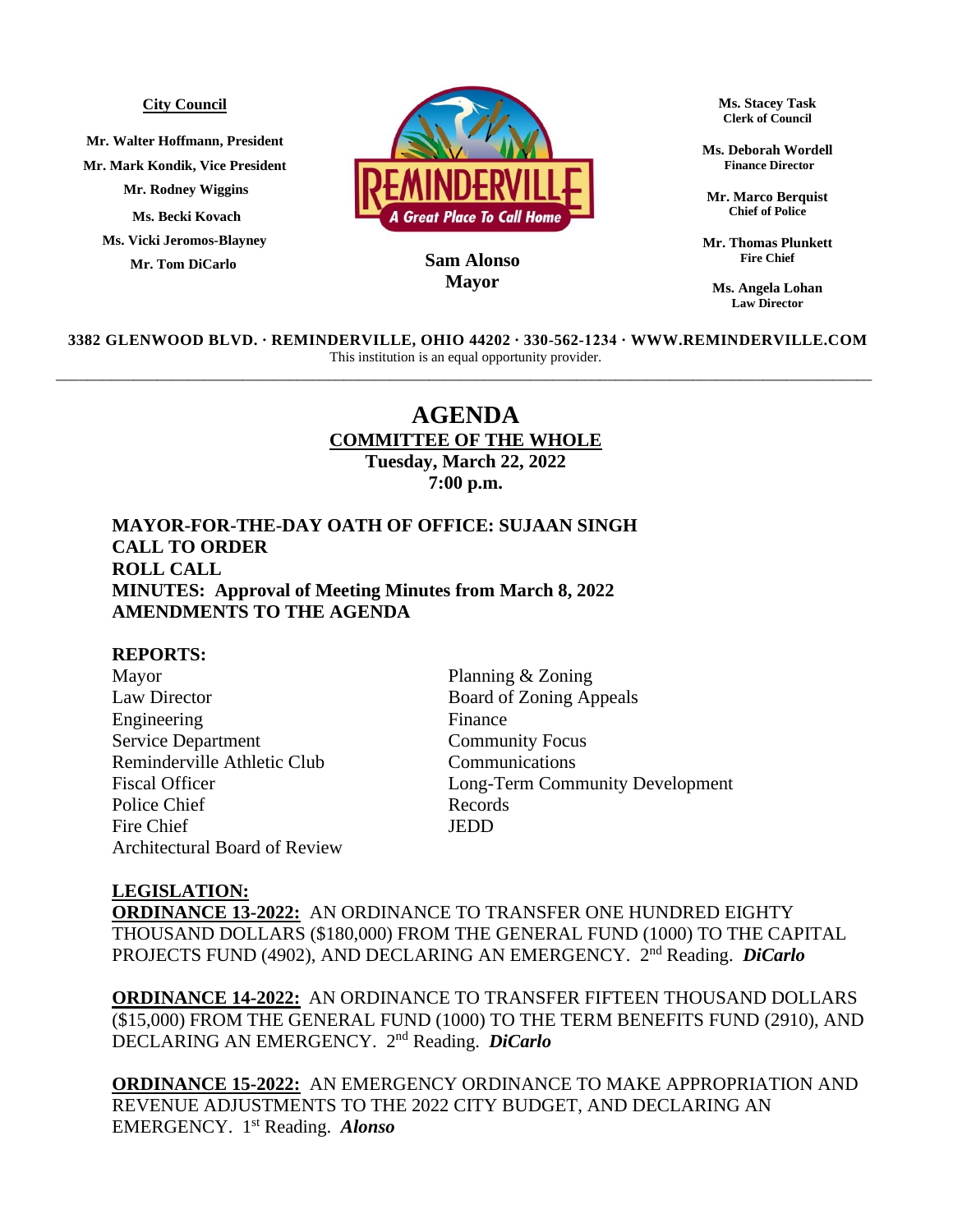#### **City Council**

**Mr. Walter Hoffmann, President Mr. Mark Kondik, Vice President Mr. Rodney Wiggins Ms. Becki Kovach Ms. Vicki Jeromos-Blayney Mr. Tom DiCarlo**



## **MayorSam Alonso**

**Ms. Stacey Task Clerk of Council**

**Ms. Deborah Wordell Finance Director**

**Mr. Marco Berquist Chief of Police**

**Mr. Thomas Plunkett Fire Chief**

**Ms. Angela Lohan Law Director**

**3382 GLENWOOD BLVD. ∙ REMINDERVILLE, OHIO 44202 ∙ 330-562-1234 ∙ WWW.REMINDERVILLE.COM**  This institution is an equal opportunity provider. \_\_\_\_\_\_\_\_\_\_\_\_\_\_\_\_\_\_\_\_\_\_\_\_\_\_\_\_\_\_\_\_\_\_\_\_\_\_\_\_\_\_\_\_\_\_\_\_\_\_\_\_\_\_\_\_\_\_\_\_\_\_\_\_\_\_\_\_\_\_\_\_\_\_\_\_\_\_\_\_\_\_\_\_\_\_\_\_\_\_\_\_\_\_\_\_\_\_\_\_\_\_\_\_\_

# **AGENDA COMMITTEE OF THE WHOLE Tuesday, March 22, 2022 7:00 p.m.**

## **MAYOR-FOR-THE-DAY OATH OF OFFICE: SUJAAN SINGH CALL TO ORDER ROLL CALL MINUTES: Approval of Meeting Minutes from March 8, 2022 AMENDMENTS TO THE AGENDA**

### **REPORTS:**

Mayor Planning & Zoning Law Director Board of Zoning Appeals Engineering Finance Service Department Community Focus Reminderville Athletic Club Communications Police Chief Records Fire Chief **JEDD** Architectural Board of Review

Fiscal Officer Long-Term Community Development

### **LEGISLATION:**

**ORDINANCE 13-2022:** AN ORDINANCE TO TRANSFER ONE HUNDRED EIGHTY THOUSAND DOLLARS (\$180,000) FROM THE GENERAL FUND (1000) TO THE CAPITAL PROJECTS FUND (4902), AND DECLARING AN EMERGENCY. 2<sup>nd</sup> Reading. *DiCarlo* 

**ORDINANCE 14-2022:** AN ORDINANCE TO TRANSFER FIFTEEN THOUSAND DOLLARS (\$15,000) FROM THE GENERAL FUND (1000) TO THE TERM BENEFITS FUND (2910), AND DECLARING AN EMERGENCY. 2 nd Reading. *DiCarlo*

**ORDINANCE 15-2022:** AN EMERGENCY ORDINANCE TO MAKE APPROPRIATION AND REVENUE ADJUSTMENTS TO THE 2022 CITY BUDGET, AND DECLARING AN EMERGENCY. 1 st Reading. *Alonso*